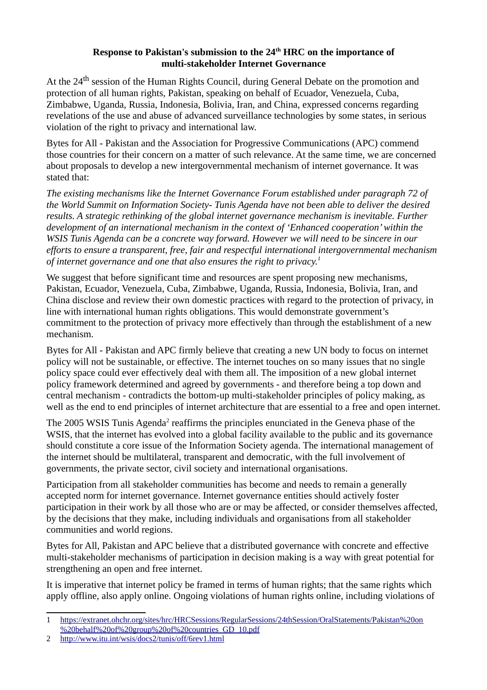## **Response to Pakistan's submission to the 24th HRC on the importance of multi-stakeholder Internet Governance**

At the 24<sup>th</sup> session of the Human Rights Council, during General Debate on the promotion and protection of all human rights, Pakistan, speaking on behalf of Ecuador, Venezuela, Cuba, Zimbabwe, Uganda, Russia, Indonesia, Bolivia, Iran, and China, expressed concerns regarding revelations of the use and abuse of advanced surveillance technologies by some states, in serious violation of the right to privacy and international law.

Bytes for All - Pakistan and the Association for Progressive Communications (APC) commend those countries for their concern on a matter of such relevance. At the same time, we are concerned about proposals to develop a new intergovernmental mechanism of internet governance. It was stated that:

*The existing mechanisms like the Internet Governance Forum established under paragraph 72 of the World Summit on Information Society- Tunis Agenda have not been able to deliver the desired results. A strategic rethinking of the global internet governance mechanism is inevitable. Further development of an international mechanism in the context of 'Enhanced cooperation' within the*  WSIS Tunis Agenda can be a concrete way forward. However we will need to be sincere in our *efforts to ensure a transparent, free, fair and respectful international intergovernmental mechanism of internet governance and one that also ensures the right to privacy.[1](#page-0-0)*

We suggest that before significant time and resources are spent proposing new mechanisms, Pakistan, Ecuador, Venezuela, Cuba, Zimbabwe, Uganda, Russia, Indonesia, Bolivia, Iran, and China disclose and review their own domestic practices with regard to the protection of privacy, in line with international human rights obligations. This would demonstrate government's commitment to the protection of privacy more effectively than through the establishment of a new mechanism.

Bytes for All - Pakistan and APC firmly believe that creating a new UN body to focus on internet policy will not be sustainable, or effective. The internet touches on so many issues that no single policy space could ever effectively deal with them all. The imposition of a new global internet policy framework determined and agreed by governments - and therefore being a top down and central mechanism - contradicts the bottom-up multi-stakeholder principles of policy making, as well as the end to end principles of internet architecture that are essential to a free and open internet.

The [2](#page-0-1)005 WSIS Tunis Agenda<sup>2</sup> reaffirms the principles enunciated in the Geneva phase of the WSIS, that the internet has evolved into a global facility available to the public and its governance should constitute a core issue of the Information Society agenda. The international management of the internet should be multilateral, transparent and democratic, with the full involvement of governments, the private sector, civil society and international organisations.

Participation from all stakeholder communities has become and needs to remain a generally accepted norm for internet governance. Internet governance entities should actively foster participation in their work by all those who are or may be affected, or consider themselves affected, by the decisions that they make, including individuals and organisations from all stakeholder communities and world regions.

Bytes for All, Pakistan and APC believe that a distributed governance with concrete and effective multi-stakeholder mechanisms of participation in decision making is a way with great potential for strengthening an open and free internet.

It is imperative that internet policy be framed in terms of human rights; that the same rights which apply offline, also apply online. Ongoing violations of human rights online, including violations of

<span id="page-0-0"></span><sup>1</sup> [https://extranet.ohchr.org/sites/hrc/HRCSessions/RegularSessions/24thSession/OralStatements/Pakistan%20on](https://extranet.ohchr.org/sites/hrc/HRCSessions/RegularSessions/24thSession/OralStatements/Pakistan%20on%20behalf%20of%20group%20of%20countries_GD_10.pdf) [%20behalf%20of%20group%20of%20countries\\_GD\\_10.pdf](https://extranet.ohchr.org/sites/hrc/HRCSessions/RegularSessions/24thSession/OralStatements/Pakistan%20on%20behalf%20of%20group%20of%20countries_GD_10.pdf)

<span id="page-0-1"></span><sup>2</sup> <http://www.itu.int/wsis/docs2/tunis/off/6rev1.html>